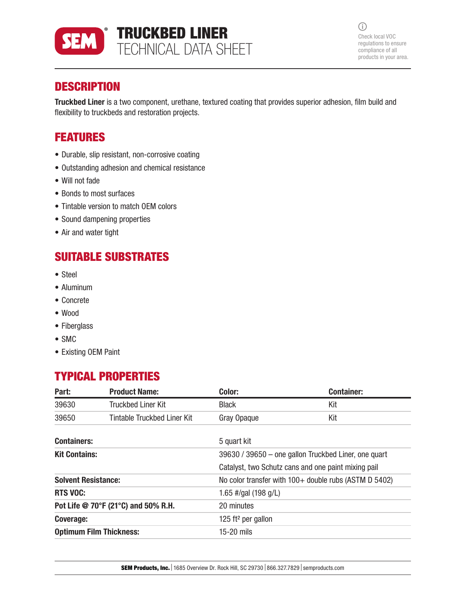

 $\odot$ Check local VOC regulations to ensure compliance of all products in your area.

# **DESCRIPTION**

Truckbed Liner is a two component, urethane, textured coating that provides superior adhesion, film build and flexibility to truckbeds and restoration projects.

# FEATURES

- Durable, slip resistant, non-corrosive coating
- Outstanding adhesion and chemical resistance
- Will not fade
- Bonds to most surfaces
- Tintable version to match OEM colors
- Sound dampening properties
- Air and water tight

# SUITABLE SUBSTRATES

- Steel
- Aluminum
- Concrete
- Wood
- Fiberglass
- SMC
- Existing OEM Paint

# TYPICAL PROPERTIES

| Part:                               | <b>Product Name:</b>        | Color:                                                  | <b>Container:</b> |
|-------------------------------------|-----------------------------|---------------------------------------------------------|-------------------|
| 39630                               | <b>Truckbed Liner Kit</b>   | <b>Black</b>                                            | Kit               |
| 39650                               | Tintable Truckbed Liner Kit | Gray Opaque                                             | Kit               |
| <b>Containers:</b>                  |                             | 5 quart kit                                             |                   |
| <b>Kit Contains:</b>                |                             | 39630 / 39650 - one gallon Truckbed Liner, one quart    |                   |
|                                     |                             | Catalyst, two Schutz cans and one paint mixing pail     |                   |
| <b>Solvent Resistance:</b>          |                             | No color transfer with $100+$ double rubs (ASTM D 5402) |                   |
| <b>RTS VOC:</b>                     |                             | 1.65 #/gal (198 g/L)                                    |                   |
| Pot Life @ 70°F (21°C) and 50% R.H. |                             | 20 minutes                                              |                   |
| Coverage:                           |                             | 125 ft <sup>2</sup> per gallon                          |                   |
| <b>Optimum Film Thickness:</b>      |                             | 15-20 mils                                              |                   |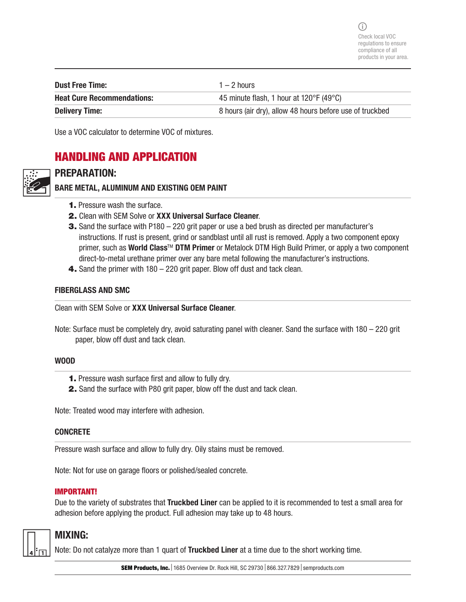$(i)$ Check local VOC regulations to ensure compliance of all products in your area.

| <b>Dust Free Time:</b>            | $1 - 2$ hours                                                |
|-----------------------------------|--------------------------------------------------------------|
| <b>Heat Cure Recommendations:</b> | 45 minute flash, 1 hour at $120^{\circ}$ F (49 $^{\circ}$ C) |
| <b>Delivery Time:</b>             | 8 hours (air dry), allow 48 hours before use of truckbed     |

Use a VOC calculator to determine VOC of mixtures.

## HANDLING AND APPLICATION



## PREPARATION:

BARE METAL, ALUMINUM AND EXISTING OEM PAINT

- 1. Pressure wash the surface.
- 2. Clean with SEM Solve or XXX Universal Surface Cleaner.
- **3.** Sand the surface with P180 220 grit paper or use a bed brush as directed per manufacturer's instructions. If rust is present, grind or sandblast until all rust is removed. Apply a two component epoxy primer, such as World Class™ DTM Primer or Metalock DTM High Build Primer, or apply a two component direct-to-metal urethane primer over any bare metal following the manufacturer's instructions.
- 4. Sand the primer with 180 220 grit paper. Blow off dust and tack clean.

#### FIBERGLASS AND SMC

Clean with SEM Solve or XXX Universal Surface Cleaner.

Note: Surface must be completely dry, avoid saturating panel with cleaner. Sand the surface with 180 – 220 grit paper, blow off dust and tack clean.

#### WOOD

- 1. Pressure wash surface first and allow to fully dry.
- 2. Sand the surface with P80 grit paper, blow off the dust and tack clean.

Note: Treated wood may interfere with adhesion.

#### **CONCRETE**

Pressure wash surface and allow to fully dry. Oily stains must be removed.

Note: Not for use on garage floors or polished/sealed concrete.

#### IMPORTANT!

Due to the variety of substrates that Truckbed Liner can be applied to it is recommended to test a small area for adhesion before applying the product. Full adhesion may take up to 48 hours.



## MIXING:

Note: Do not catalyze more than 1 quart of Truckbed Liner at a time due to the short working time.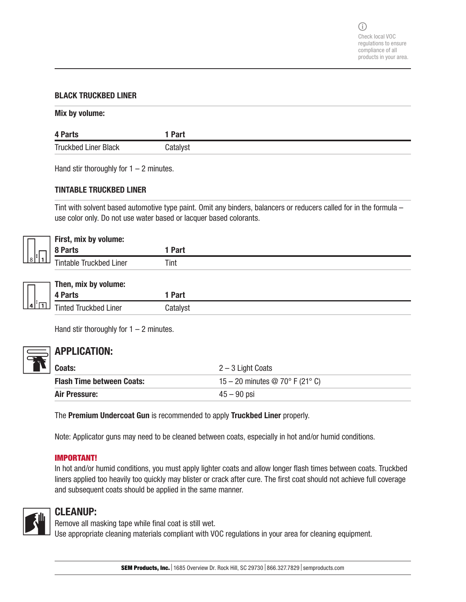#### BLACK TRUCKBED LINER

#### Mix by volume:

| 4 Parts                     | I Part   |
|-----------------------------|----------|
| <b>Truckbed Liner Black</b> | Catalyst |

Hand stir thoroughly for  $1 - 2$  minutes.

#### TINTABLE TRUCKBED LINER

Tint with solvent based automotive type paint. Omit any binders, balancers or reducers called for in the formula – use color only. Do not use water based or lacquer based colorants.

|                 | First, mix by volume:          |             |  |
|-----------------|--------------------------------|-------------|--|
|                 | 8 Parts                        | <b>Part</b> |  |
| $s \mid \mid_1$ | <b>Tintable Truckbed Liner</b> | Tint        |  |

|        | Then, mix by volume:         |             |
|--------|------------------------------|-------------|
|        | 4 Parts                      | <b>Part</b> |
| li ran | <b>Tinted Truckbed Liner</b> | Catalyst    |

Hand stir thoroughly for  $1 - 2$  minutes.



## APPLICATION:

| Coats:                           | $2 - 3$ Light Coats                          |
|----------------------------------|----------------------------------------------|
| <b>Flash Time between Coats:</b> | 15 – 20 minutes $\circledcirc$ 70° F (21° C) |
| Air Pressure:                    | $45 - 90$ psi                                |

The Premium Undercoat Gun is recommended to apply Truckbed Liner properly.

Note: Applicator guns may need to be cleaned between coats, especially in hot and/or humid conditions.

#### IMPORTANT!

In hot and/or humid conditions, you must apply lighter coats and allow longer flash times between coats. Truckbed liners applied too heavily too quickly may blister or crack after cure. The first coat should not achieve full coverage and subsequent coats should be applied in the same manner.



## CLEANUP:

Remove all masking tape while final coat is still wet.

Use appropriate cleaning materials compliant with VOC regulations in your area for cleaning equipment.